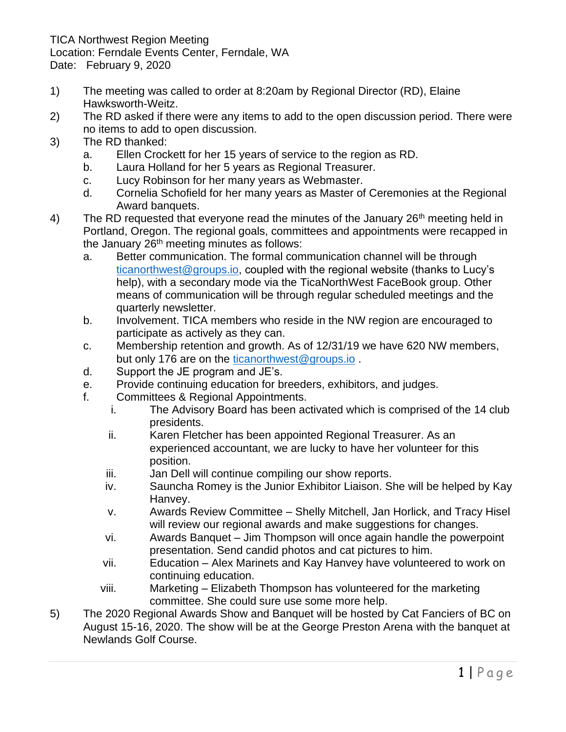TICA Northwest Region Meeting Location: Ferndale Events Center, Ferndale, WA Date: February 9, 2020

- 1) The meeting was called to order at 8:20am by Regional Director (RD), Elaine Hawksworth-Weitz.
- 2) The RD asked if there were any items to add to the open discussion period. There were no items to add to open discussion.
- 3) The RD thanked:
	- a. Ellen Crockett for her 15 years of service to the region as RD.
	- b. Laura Holland for her 5 years as Regional Treasurer.
	- c. Lucy Robinson for her many years as Webmaster.
	- d. Cornelia Schofield for her many years as Master of Ceremonies at the Regional Award banquets.
- 4) The RD requested that everyone read the minutes of the January  $26<sup>th</sup>$  meeting held in Portland, Oregon. The regional goals, committees and appointments were recapped in the January  $26<sup>th</sup>$  meeting minutes as follows:
	- a. Better communication. The formal communication channel will be through [ticanorthwest@groups.io,](mailto:ticanorthwest@groups.io) coupled with the regional website (thanks to Lucy's help), with a secondary mode via the TicaNorthWest FaceBook group. Other means of communication will be through regular scheduled meetings and the quarterly newsletter.
	- b. Involvement. TICA members who reside in the NW region are encouraged to participate as actively as they can.
	- c. Membership retention and growth. As of 12/31/19 we have 620 NW members, but only 176 are on the [ticanorthwest@groups.io](mailto:ticanorthwest@groups.io).
	- d. Support the JE program and JE's.
	- e. Provide continuing education for breeders, exhibitors, and judges.
	- f. Committees & Regional Appointments.
		- i. The Advisory Board has been activated which is comprised of the 14 club presidents.
		- ii. Karen Fletcher has been appointed Regional Treasurer. As an experienced accountant, we are lucky to have her volunteer for this position.
		- iii. Jan Dell will continue compiling our show reports.
		- iv. Sauncha Romey is the Junior Exhibitor Liaison. She will be helped by Kay Hanvey.
		- v. Awards Review Committee Shelly Mitchell, Jan Horlick, and Tracy Hisel will review our regional awards and make suggestions for changes.
		- vi. Awards Banquet Jim Thompson will once again handle the powerpoint presentation. Send candid photos and cat pictures to him.
		- vii. Education Alex Marinets and Kay Hanvey have volunteered to work on continuing education.
		- viii. Marketing Elizabeth Thompson has volunteered for the marketing committee. She could sure use some more help.
- 5) The 2020 Regional Awards Show and Banquet will be hosted by Cat Fanciers of BC on August 15-16, 2020. The show will be at the George Preston Arena with the banquet at Newlands Golf Course.